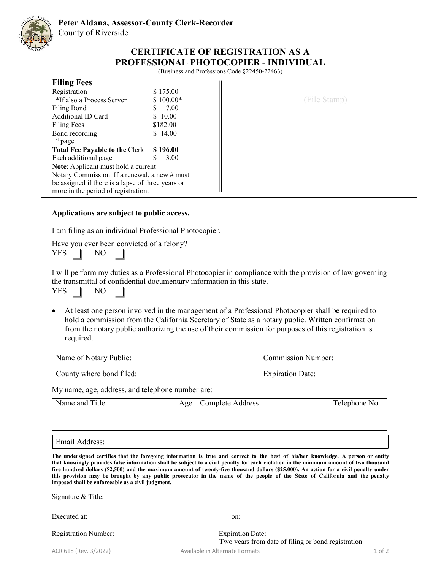

(Business and Professions Code §22450-22463)

| <b>Filing Fees</b>                                |            |              |
|---------------------------------------------------|------------|--------------|
| Registration                                      | \$175.00   |              |
| *If also a Process Server                         | $$100.00*$ | (File Stamp) |
| Filing Bond                                       | 7.00<br>S  |              |
| Additional ID Card                                | \$10.00    |              |
| Filing Fees                                       | \$182.00   |              |
| Bond recording                                    | \$14.00    |              |
| $1st$ page                                        |            |              |
| <b>Total Fee Payable to the Clerk</b>             | \$196.00   |              |
| Each additional page                              | 3.00       |              |
| <b>Note:</b> Applicant must hold a current        |            |              |
| Notary Commission. If a renewal, a new # must     |            |              |
| be assigned if there is a lapse of three years or |            |              |
| more in the period of registration.               |            |              |

# **Applications are subject to public access.**

I am filing as an individual Professional Photocopier.

Have you ever been convicted of a felony?  $YES$  NO  $\sqrt{}$ 

I will perform my duties as a Professional Photocopier in compliance with the provision of law governing the transmittal of confidential documentary information in this state.

|--|--|

• At least one person involved in the management of a Professional Photocopier shall be required to hold a commission from the California Secretary of State as a notary public. Written confirmation from the notary public authorizing the use of their commission for purposes of this registration is required.

| Name of Notary Public:   | <b>Commission Number:</b> |
|--------------------------|---------------------------|
| County where bond filed: | <b>Expiration Date:</b>   |

My name, age, address, and telephone number are:

| Name and Title | Age | <b>Complete Address</b> | Telephone No. |
|----------------|-----|-------------------------|---------------|
|                |     |                         |               |
|                |     |                         |               |
| Email Address: |     |                         |               |

The undersigned certifies that the foregoing information is true and correct to the best of his/her knowledge. A person or entity **that knowingly provides false information shall be subject to a civil penalty for each violation in the minimum amount of two thousand** five hundred dollars (\$2,500) and the maximum amount of twenty-five thousand dollars (\$25,000). An action for a civil penalty under this provision may be brought by any public prosecutor in the name of the people of the State of California and the penalty **imposed shall be enforceable as a civil judgment.**

Signature & Title: Contact Contact Contact Contact Contact Contact Contact Contact Contact Contact Contact Contact Contact Contact Contact Contact Contact Contact Contact Contact Contact Contact Contact Contact Contact Con

Executed at: 000

| Registration Number: |  |
|----------------------|--|
|                      |  |

Expiration Date: Two years from date of filing or bond registration

ACR 618 (Rev. 3/2022) Available in Alternate Formats 1 of 2